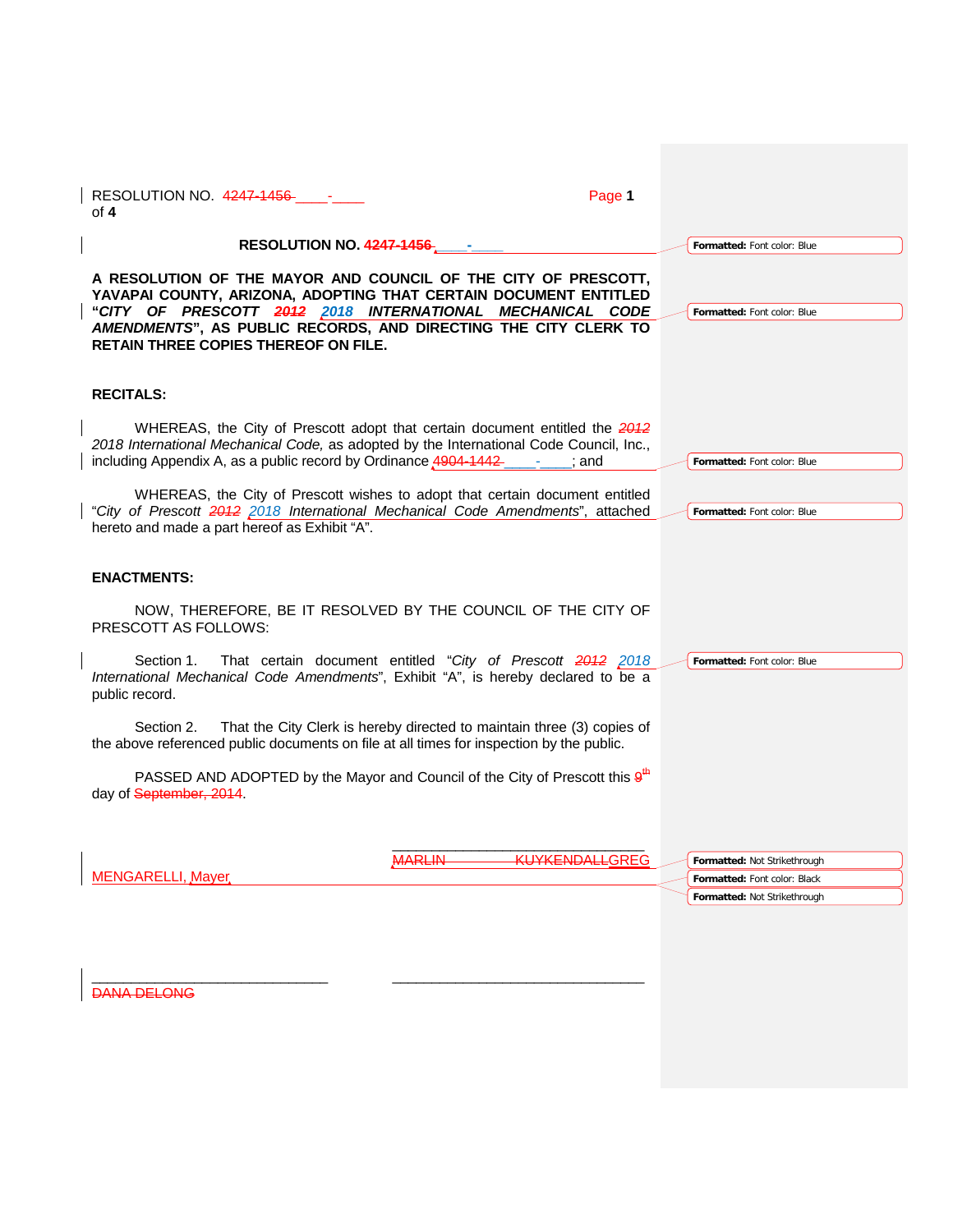| RESOLUTION NO. 4247-1456<br>of $4$                                                                                                                                                                                                                                                                                | Page 1                |                              |  |
|-------------------------------------------------------------------------------------------------------------------------------------------------------------------------------------------------------------------------------------------------------------------------------------------------------------------|-----------------------|------------------------------|--|
| <b>RESOLUTION NO. 4247-1456-</b>                                                                                                                                                                                                                                                                                  |                       | Formatted: Font color: Blue  |  |
| A RESOLUTION OF THE MAYOR AND COUNCIL OF THE CITY OF PRESCOTT,<br>YAVAPAI COUNTY, ARIZONA, ADOPTING THAT CERTAIN DOCUMENT ENTITLED<br>"CITY OF PRESCOTT 2012 2018 INTERNATIONAL MECHANICAL CODE<br>AMENDMENTS", AS PUBLIC RECORDS, AND DIRECTING THE CITY CLERK TO<br><b>RETAIN THREE COPIES THEREOF ON FILE.</b> |                       | Formatted: Font color: Blue  |  |
| <b>RECITALS:</b>                                                                                                                                                                                                                                                                                                  |                       |                              |  |
| WHEREAS, the City of Prescott adopt that certain document entitled the 2012<br>2018 International Mechanical Code, as adopted by the International Code Council, Inc.,<br>including Appendix A, as a public record by Ordinance 4904-1442-                                                                        | : and                 | Formatted: Font color: Blue  |  |
| WHEREAS, the City of Prescott wishes to adopt that certain document entitled<br>"City of Prescott 2012 2018 International Mechanical Code Amendments", attached<br>hereto and made a part hereof as Exhibit "A".                                                                                                  |                       | Formatted: Font color: Blue  |  |
| <b>ENACTMENTS:</b>                                                                                                                                                                                                                                                                                                |                       |                              |  |
| NOW, THEREFORE, BE IT RESOLVED BY THE COUNCIL OF THE CITY OF<br>PRESCOTT AS FOLLOWS:                                                                                                                                                                                                                              |                       |                              |  |
| Section 1.<br>That certain document entitled "City of Prescott 2012 2018<br>International Mechanical Code Amendments", Exhibit "A", is hereby declared to be a<br>public record.                                                                                                                                  |                       | Formatted: Font color: Blue  |  |
| That the City Clerk is hereby directed to maintain three (3) copies of<br>Section 2.<br>the above referenced public documents on file at all times for inspection by the public.                                                                                                                                  |                       |                              |  |
| PASSED AND ADOPTED by the Mayor and Council of the City of Prescott this $9th$<br>day of September, 2014.                                                                                                                                                                                                         |                       |                              |  |
| <b>MARLIN</b>                                                                                                                                                                                                                                                                                                     | <b>KUYKENDALLGREG</b> | Formatted: Not Strikethrough |  |
| <b>MENGARELLI, Mayer</b>                                                                                                                                                                                                                                                                                          |                       | Formatted: Font color: Black |  |
|                                                                                                                                                                                                                                                                                                                   |                       | Formatted: Not Strikethrough |  |
| <b>DANA DELONG</b>                                                                                                                                                                                                                                                                                                |                       |                              |  |
|                                                                                                                                                                                                                                                                                                                   |                       |                              |  |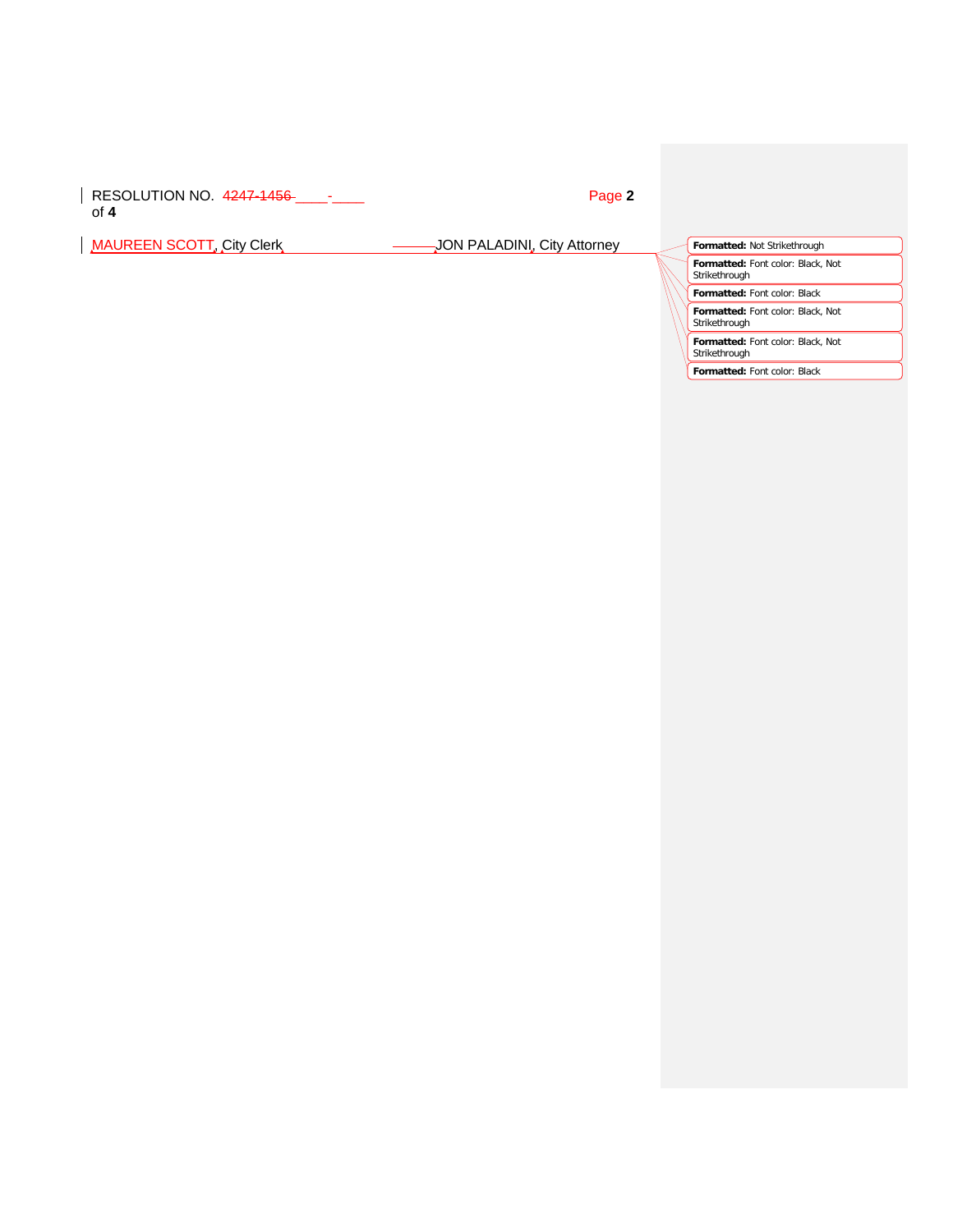RESOLUTION NO. 4247-1456 \_\_\_\_-\_\_\_\_ Page **2** of **4**

MAUREEN SCOTT, City Clerk **Jones Act Act ADINI**, City Attorney **Formatted:** Not Strikethrough

**Formatted:** Font color: Black, Not Strikethrough

**Formatted:** Font color: Black

**Formatted:** Font color: Black, Not Strikethrough

**Formatted:** Font color: Black, Not Strikethrough

**Formatted:** Font color: Black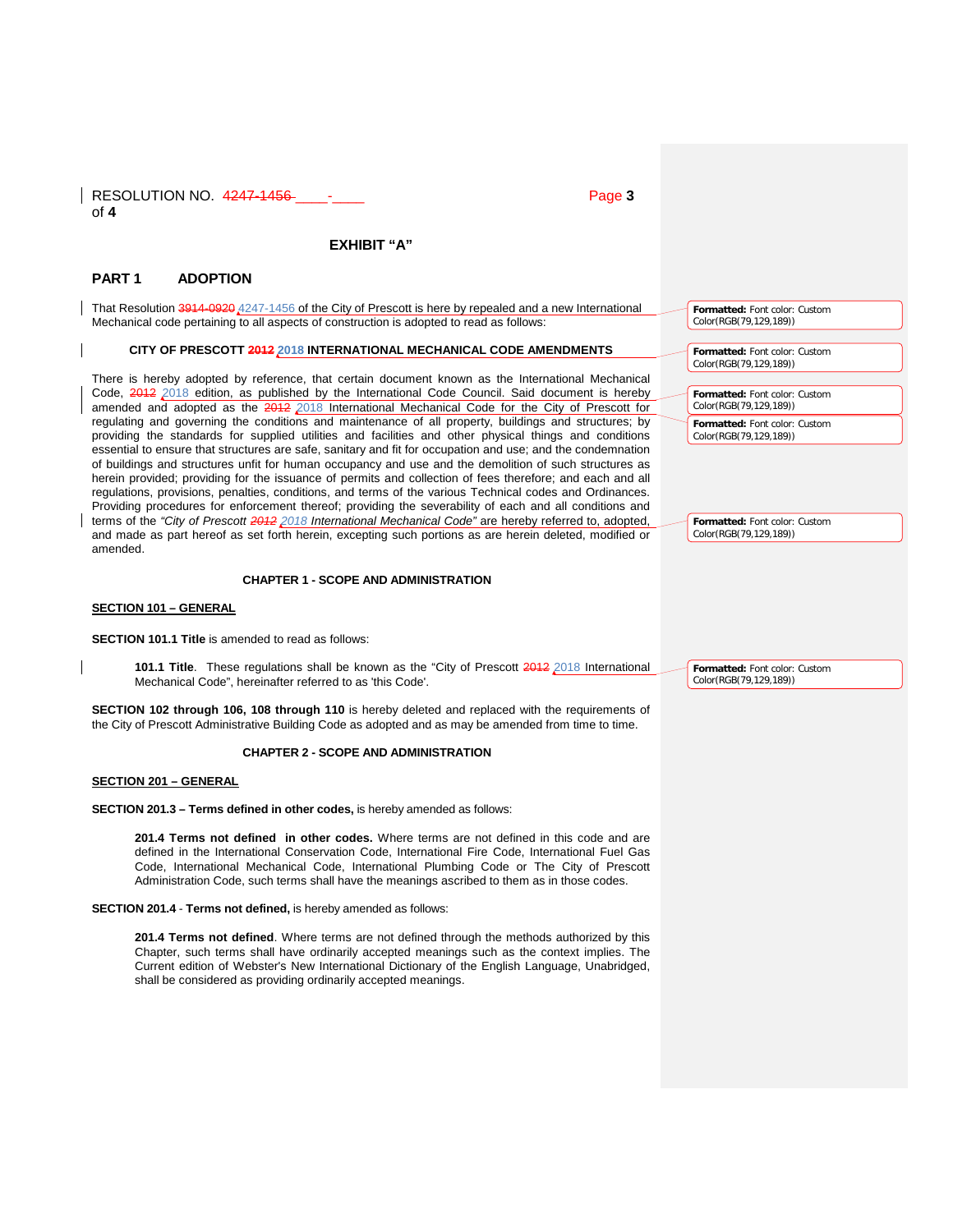| RESOLUTION NO. 4247-1456-<br>Page 3<br>of $4$                                                                                                                                                                                                                                                                                                                                                                                                                                                                                                                                                                                                                                                                                                                                    |                                                                                                                    |
|----------------------------------------------------------------------------------------------------------------------------------------------------------------------------------------------------------------------------------------------------------------------------------------------------------------------------------------------------------------------------------------------------------------------------------------------------------------------------------------------------------------------------------------------------------------------------------------------------------------------------------------------------------------------------------------------------------------------------------------------------------------------------------|--------------------------------------------------------------------------------------------------------------------|
|                                                                                                                                                                                                                                                                                                                                                                                                                                                                                                                                                                                                                                                                                                                                                                                  |                                                                                                                    |
| EXHIBIT "A"                                                                                                                                                                                                                                                                                                                                                                                                                                                                                                                                                                                                                                                                                                                                                                      |                                                                                                                    |
| PART <sub>1</sub><br><b>ADOPTION</b>                                                                                                                                                                                                                                                                                                                                                                                                                                                                                                                                                                                                                                                                                                                                             |                                                                                                                    |
| That Resolution 3914-0920 4247-1456 of the City of Prescott is here by repealed and a new International<br>Mechanical code pertaining to all aspects of construction is adopted to read as follows:                                                                                                                                                                                                                                                                                                                                                                                                                                                                                                                                                                              | Formatted: Font color: Custom<br>Color(RGB(79,129,189))                                                            |
| CITY OF PRESCOTT 2012 2018 INTERNATIONAL MECHANICAL CODE AMENDMENTS                                                                                                                                                                                                                                                                                                                                                                                                                                                                                                                                                                                                                                                                                                              | Formatted: Font color: Custom<br>Color(RGB(79,129,189))                                                            |
| There is hereby adopted by reference, that certain document known as the International Mechanical<br>Code, 2012 2018 edition, as published by the International Code Council. Said document is hereby<br>amended and adopted as the 2012 2018 International Mechanical Code for the City of Prescott for<br>regulating and governing the conditions and maintenance of all property, buildings and structures; by<br>providing the standards for supplied utilities and facilities and other physical things and conditions                                                                                                                                                                                                                                                      | Formatted: Font color: Custom<br>Color(RGB(79,129,189))<br>Formatted: Font color: Custom<br>Color(RGB(79,129,189)) |
| essential to ensure that structures are safe, sanitary and fit for occupation and use; and the condemnation<br>of buildings and structures unfit for human occupancy and use and the demolition of such structures as<br>herein provided; providing for the issuance of permits and collection of fees therefore; and each and all<br>regulations, provisions, penalties, conditions, and terms of the various Technical codes and Ordinances.<br>Providing procedures for enforcement thereof; providing the severability of each and all conditions and<br>terms of the "City of Prescott 2012 2018 International Mechanical Code" are hereby referred to, adopted,<br>and made as part hereof as set forth herein, excepting such portions as are herein deleted, modified or | Formatted: Font color: Custom<br>Color(RGB(79,129,189))                                                            |
| amended.                                                                                                                                                                                                                                                                                                                                                                                                                                                                                                                                                                                                                                                                                                                                                                         |                                                                                                                    |
| <b>CHAPTER 1 - SCOPE AND ADMINISTRATION</b>                                                                                                                                                                                                                                                                                                                                                                                                                                                                                                                                                                                                                                                                                                                                      |                                                                                                                    |
| <b>SECTION 101 - GENERAL</b>                                                                                                                                                                                                                                                                                                                                                                                                                                                                                                                                                                                                                                                                                                                                                     |                                                                                                                    |
| <b>SECTION 101.1 Title</b> is amended to read as follows:                                                                                                                                                                                                                                                                                                                                                                                                                                                                                                                                                                                                                                                                                                                        |                                                                                                                    |
| 101.1 Title. These regulations shall be known as the "City of Prescott 2012 2018 International<br>Mechanical Code", hereinafter referred to as 'this Code'.                                                                                                                                                                                                                                                                                                                                                                                                                                                                                                                                                                                                                      | Formatted: Font color: Custom<br>Color(RGB(79,129,189))                                                            |
| SECTION 102 through 106, 108 through 110 is hereby deleted and replaced with the requirements of<br>the City of Prescott Administrative Building Code as adopted and as may be amended from time to time.                                                                                                                                                                                                                                                                                                                                                                                                                                                                                                                                                                        |                                                                                                                    |
| <b>CHAPTER 2 - SCOPE AND ADMINISTRATION</b>                                                                                                                                                                                                                                                                                                                                                                                                                                                                                                                                                                                                                                                                                                                                      |                                                                                                                    |
| <b>SECTION 201 - GENERAL</b>                                                                                                                                                                                                                                                                                                                                                                                                                                                                                                                                                                                                                                                                                                                                                     |                                                                                                                    |
| <b>SECTION 201.3 – Terms defined in other codes, is hereby amended as follows:</b>                                                                                                                                                                                                                                                                                                                                                                                                                                                                                                                                                                                                                                                                                               |                                                                                                                    |
| 201.4 Terms not defined in other codes. Where terms are not defined in this code and are<br>defined in the International Conservation Code, International Fire Code, International Fuel Gas<br>Code, International Mechanical Code, International Plumbing Code or The City of Prescott<br>Administration Code, such terms shall have the meanings ascribed to them as in those codes.                                                                                                                                                                                                                                                                                                                                                                                           |                                                                                                                    |
| SECTION 201.4 - Terms not defined, is hereby amended as follows:                                                                                                                                                                                                                                                                                                                                                                                                                                                                                                                                                                                                                                                                                                                 |                                                                                                                    |
| 201.4 Terms not defined. Where terms are not defined through the methods authorized by this<br>Chapter, such terms shall have ordinarily accepted meanings such as the context implies. The<br>Current edition of Webster's New International Dictionary of the English Language, Unabridged,<br>shall be considered as providing ordinarily accepted meanings.                                                                                                                                                                                                                                                                                                                                                                                                                  |                                                                                                                    |
|                                                                                                                                                                                                                                                                                                                                                                                                                                                                                                                                                                                                                                                                                                                                                                                  |                                                                                                                    |
|                                                                                                                                                                                                                                                                                                                                                                                                                                                                                                                                                                                                                                                                                                                                                                                  |                                                                                                                    |
|                                                                                                                                                                                                                                                                                                                                                                                                                                                                                                                                                                                                                                                                                                                                                                                  |                                                                                                                    |